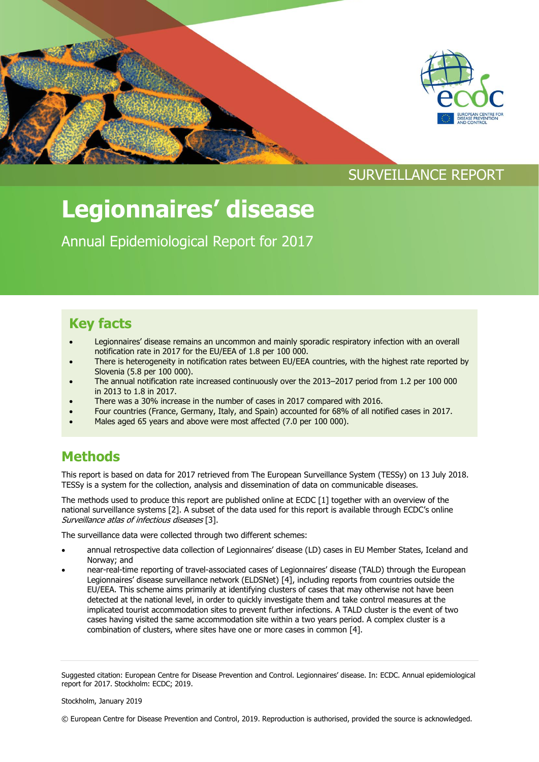

# **Legionnaires' disease**

Annual Epidemiological Report for 2017

#### **Key facts**

- Legionnaires' disease remains an uncommon and mainly sporadic respiratory infection with an overall notification rate in 2017 for the EU/EEA of 1.8 per 100 000.
- There is heterogeneity in notification rates between EU/EEA countries, with the highest rate reported by Slovenia (5.8 per 100 000).
- The annual notification rate increased continuously over the 2013–2017 period from 1.2 per 100 000 in 2013 to 1.8 in 2017.
- There was a 30% increase in the number of cases in 2017 compared with 2016.
- Four countries (France, Germany, Italy, and Spain) accounted for 68% of all notified cases in 2017.
- Males aged 65 years and above were most affected (7.0 per 100 000).

#### **Methods**

This report is based on data for 2017 retrieved from The European Surveillance System (TESSy) on 13 July 2018. TESSy is a system for the collection, analysis and dissemination of data on communicable diseases.

The methods used to produce this report are published online at ECDC [1] together with an overview of the national surveillance systems [2]. A subset of the data used for this report is available through ECDC's online Surveillance atlas of infectious diseases [3].

The surveillance data were collected through two different schemes:

- annual retrospective data collection of Legionnaires' disease (LD) cases in EU Member States, Iceland and Norway; and
- near-real-time reporting of travel-associated cases of Legionnaires' disease (TALD) through the European Legionnaires' disease surveillance network (ELDSNet) [4], including reports from countries outside the EU/EEA. This scheme aims primarily at identifying clusters of cases that may otherwise not have been detected at the national level, in order to quickly investigate them and take control measures at the implicated tourist accommodation sites to prevent further infections. A TALD cluster is the event of two cases having visited the same accommodation site within a two years period. A complex cluster is a combination of clusters, where sites have one or more cases in common [4].

Suggested citation: European Centre for Disease Prevention and Control. Legionnaires' disease. In: ECDC. Annual epidemiological report for 2017. Stockholm: ECDC; 2019.

Stockholm, January 2019

<sup>©</sup> European Centre for Disease Prevention and Control, 2019. Reproduction is authorised, provided the source is acknowledged.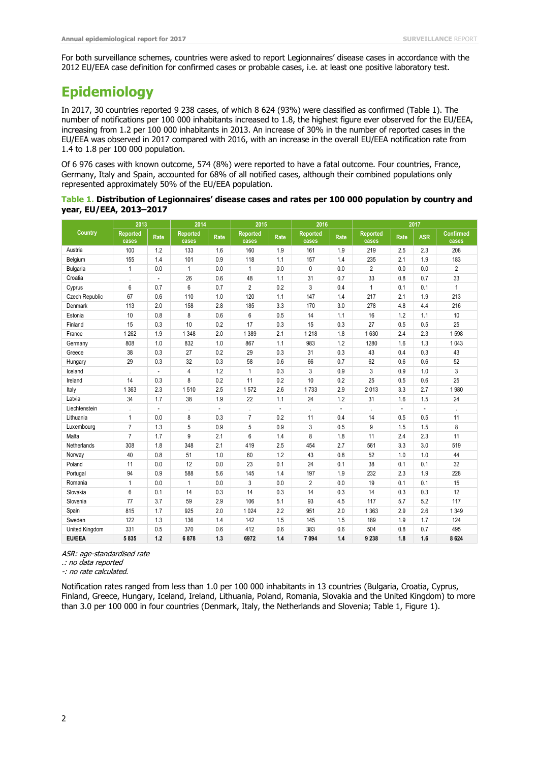For both surveillance schemes, countries were asked to report Legionnaires' disease cases in accordance with the 2012 EU/EEA case definition for confirmed cases or probable cases, i.e. at least one positive laboratory test.

## **Epidemiology**

In 2017, 30 countries reported 9 238 cases, of which 8 624 (93%) were classified as confirmed (Table 1). The number of notifications per 100 000 inhabitants increased to 1.8, the highest figure ever observed for the EU/EEA, increasing from 1.2 per 100 000 inhabitants in 2013. An increase of 30% in the number of reported cases in the EU/EEA was observed in 2017 compared with 2016, with an increase in the overall EU/EEA notification rate from 1.4 to 1.8 per 100 000 population.

Of 6 976 cases with known outcome, 574 (8%) were reported to have a fatal outcome. Four countries, France, Germany, Italy and Spain, accounted for 68% of all notified cases, although their combined populations only represented approximately 50% of the EU/EEA population.

#### **Table 1. Distribution of Legionnaires' disease cases and rates per 100 000 population by country and year, EU/EEA, 2013–2017**

| Country         | 2013              |                          | 2014                     |                | 2015                     |      | 2016                     |                          | 2017                     |        |            |                           |
|-----------------|-------------------|--------------------------|--------------------------|----------------|--------------------------|------|--------------------------|--------------------------|--------------------------|--------|------------|---------------------------|
|                 | Reported<br>cases | Rate                     | <b>Reported</b><br>cases | Rate           | <b>Reported</b><br>cases | Rate | <b>Reported</b><br>cases | Rate                     | <b>Reported</b><br>cases | Rate   | <b>ASR</b> | <b>Confirmed</b><br>cases |
| Austria         | 100               | 1.2                      | 133                      | 1.6            | 160                      | 1.9  | 161                      | 1.9                      | 219                      | 2.5    | 2.3        | 208                       |
| Belgium         | 155               | 1.4                      | 101                      | 0.9            | 118                      | 1.1  | 157                      | 1.4                      | 235                      | 2.1    | 1.9        | 183                       |
| <b>Bulgaria</b> | $\mathbf{1}$      | 0.0                      | $\mathbf{1}$             | 0.0            | $\mathbf{1}$             | 0.0  | 0                        | 0.0                      | 2                        | 0.0    | 0.0        | $\overline{2}$            |
| Croatia         |                   | ÷,                       | 26                       | 0.6            | 48                       | 1.1  | 31                       | 0.7                      | 33                       | 0.8    | 0.7        | 33                        |
| Cyprus          | 6                 | 0.7                      | 6                        | 0.7            | $\overline{2}$           | 0.2  | 3                        | 0.4                      | $\mathbf{1}$             | 0.1    | 0.1        | $\mathbf{1}$              |
| Czech Republic  | 67                | 0.6                      | 110                      | 1.0            | 120                      | 1.1  | 147                      | 1.4                      | 217                      | 2.1    | 1.9        | 213                       |
| Denmark         | 113               | 2.0                      | 158                      | 2.8            | 185                      | 3.3  | 170                      | 3.0                      | 278                      | 4.8    | 4.4        | 216                       |
| Estonia         | 10                | 0.8                      | 8                        | 0.6            | 6                        | 0.5  | 14                       | 1.1                      | 16                       | 1.2    | 1.1        | 10                        |
| Finland         | 15                | 0.3                      | 10                       | 0.2            | 17                       | 0.3  | 15                       | 0.3                      | 27                       | 0.5    | 0.5        | 25                        |
| France          | 1 2 6 2           | 1.9                      | 1 3 4 8                  | 2.0            | 1 3 8 9                  | 2.1  | 1 2 1 8                  | 1.8                      | 1630                     | 2.4    | 2.3        | 1598                      |
| Germany         | 808               | 1.0                      | 832                      | 1.0            | 867                      | 1.1  | 983                      | 1.2                      | 1280                     | 1.6    | 1.3        | 1 0 4 3                   |
| Greece          | 38                | 0.3                      | 27                       | 0.2            | 29                       | 0.3  | 31                       | 0.3                      | 43                       | 0.4    | 0.3        | 43                        |
| Hungary         | 29                | 0.3                      | 32                       | 0.3            | 58                       | 0.6  | 66                       | 0.7                      | 62                       | 0.6    | 0.6        | 52                        |
| Iceland         | ٠                 | $\overline{\phantom{a}}$ | 4                        | 1.2            | $\mathbf{1}$             | 0.3  | 3                        | 0.9                      | 3                        | 0.9    | 1.0        | 3                         |
| Ireland         | 14                | 0.3                      | 8                        | 0.2            | 11                       | 0.2  | 10                       | 0.2                      | 25                       | 0.5    | 0.6        | 25                        |
| Italy           | 1 3 6 3           | 2.3                      | 1510                     | 2.5            | 1572                     | 2.6  | 1733                     | 2.9                      | 2013                     | 3.3    | 2.7        | 1980                      |
| Latvia          | 34                | 1.7                      | 38                       | 1.9            | 22                       | 1.1  | 24                       | 1.2                      | 31                       | 1.6    | 1.5        | 24                        |
| Liechtenstein   |                   | ÷,                       |                          | $\overline{a}$ |                          | ÷,   |                          | $\overline{\phantom{a}}$ |                          | $\sim$ | ÷.         |                           |
| Lithuania       | 1                 | 0.0                      | 8                        | 0.3            | $\overline{7}$           | 0.2  | 11                       | 0.4                      | 14                       | 0.5    | 0.5        | 11                        |
| Luxembourg      | $\overline{7}$    | 1.3                      | 5                        | 0.9            | 5                        | 0.9  | 3                        | 0.5                      | 9                        | 1.5    | 1.5        | 8                         |
| Malta           | $\overline{7}$    | 1.7                      | 9                        | 2.1            | 6                        | 1.4  | 8                        | 1.8                      | 11                       | 2.4    | 2.3        | 11                        |
| Netherlands     | 308               | 1.8                      | 348                      | 2.1            | 419                      | 2.5  | 454                      | 2.7                      | 561                      | 3.3    | 3.0        | 519                       |
| Norway          | 40                | 0.8                      | 51                       | 1.0            | 60                       | 1.2  | 43                       | 0.8                      | 52                       | 1.0    | 1.0        | 44                        |
| Poland          | 11                | 0.0                      | 12                       | 0.0            | 23                       | 0.1  | 24                       | 0.1                      | 38                       | 0.1    | 0.1        | 32                        |
| Portugal        | 94                | 0.9                      | 588                      | 5.6            | 145                      | 1.4  | 197                      | 1.9                      | 232                      | 2.3    | 1.9        | 228                       |
| Romania         | $\mathbf{1}$      | 0.0                      | $\mathbf{1}$             | 0.0            | 3                        | 0.0  | $\overline{2}$           | 0.0                      | 19                       | 0.1    | 0.1        | 15                        |
| Slovakia        | 6                 | 0.1                      | 14                       | 0.3            | 14                       | 0.3  | 14                       | 0.3                      | 14                       | 0.3    | 0.3        | 12                        |
| Slovenia        | 77                | 3.7                      | 59                       | 2.9            | 106                      | 5.1  | 93                       | 4.5                      | 117                      | 5.7    | 5.2        | 117                       |
| Spain           | 815               | 1.7                      | 925                      | 2.0            | 1 0 2 4                  | 2.2  | 951                      | 2.0                      | 1 3 6 3                  | 2.9    | 2.6        | 1 3 4 9                   |
| Sweden          | 122               | 1.3                      | 136                      | 1.4            | 142                      | 1.5  | 145                      | 1.5                      | 189                      | 1.9    | 1.7        | 124                       |
| United Kingdom  | 331               | 0.5                      | 370                      | 0.6            | 412                      | 0.6  | 383                      | 0.6                      | 504                      | 0.8    | 0.7        | 495                       |
| <b>EU/EEA</b>   | 5835              | 1.2                      | 6878                     | 1.3            | 6972                     | 1.4  | 7 0 9 4                  | 1.4                      | 9 2 3 8                  | 1.8    | 1.6        | 8624                      |

ASR: age-standardised rate

.: no data reported

-: no rate calculated.

Notification rates ranged from less than 1.0 per 100 000 inhabitants in 13 countries (Bulgaria, Croatia, Cyprus, Finland, Greece, Hungary, Iceland, Ireland, Lithuania, Poland, Romania, Slovakia and the United Kingdom) to more than 3.0 per 100 000 in four countries (Denmark, Italy, the Netherlands and Slovenia; Table 1, Figure 1).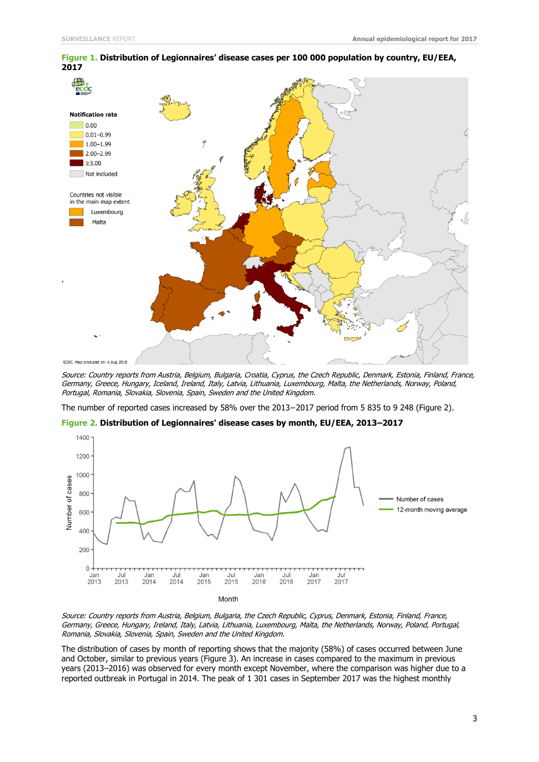

**Figure 1. Distribution of Legionnaires' disease cases per 100 000 population by country, EU/EEA, 2017**

The number of reported cases increased by 58% over the 2013−2017 period from 5 835 to 9 248 (Figure 2).



**Figure 2. Distribution of Legionnaires' disease cases by month, EU/EEA, 2013–2017**

Source: Country reports from Austria, Belgium, Bulgaria, the Czech Republic, Cyprus, Denmark, Estonia, Finland, France, Germany, Greece, Hungary, Ireland, Italy, Latvia, Lithuania, Luxembourg, Malta, the Netherlands, Norway, Poland, Portugal, Romania, Slovakia, Slovenia, Spain, Sweden and the United Kingdom.

The distribution of cases by month of reporting shows that the majority (58%) of cases occurred between June and October, similar to previous years (Figure 3). An increase in cases compared to the maximum in previous years (2013–2016) was observed for every month except November, where the comparison was higher due to a reported outbreak in Portugal in 2014. The peak of 1 301 cases in September 2017 was the highest monthly

Source: Country reports from Austria, Belgium, Bulgaria, Croatia, Cyprus, the Czech Republic, Denmark, Estonia, Finland, France, Germany, Greece, Hungary, Iceland, Ireland, Italy, Latvia, Lithuania, Luxembourg, Malta, the Netherlands, Norway, Poland, Portugal, Romania, Slovakia, Slovenia, Spain, Sweden and the United Kingdom.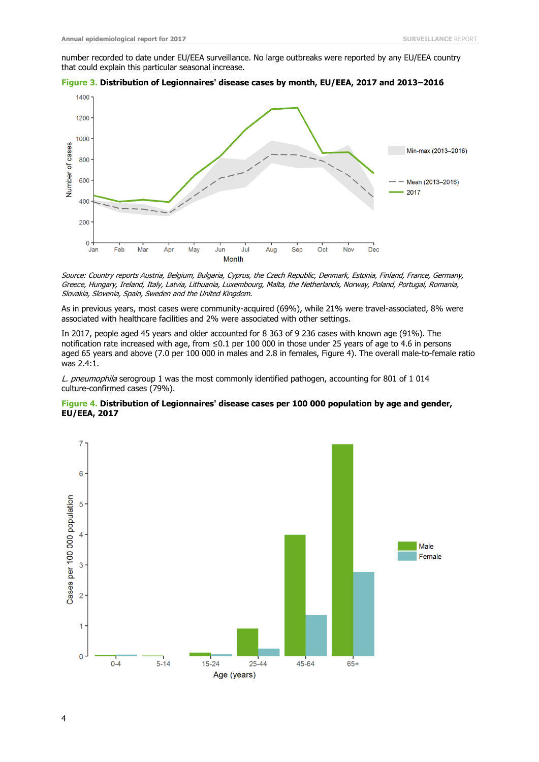number recorded to date under EU/EEA surveillance. No large outbreaks were reported by any EU/EEA country that could explain this particular seasonal increase.





Source: Country reports Austria, Belgium, Bulgaria, Cyprus, the Czech Republic, Denmark, Estonia, Finland, France, Germany, Greece, Hungary, Ireland, Italy, Latvia, Lithuania, Luxembourg, Malta, the Netherlands, Norway, Poland, Portugal, Romania, Slovakia, Slovenia, Spain, Sweden and the United Kingdom.

As in previous years, most cases were community-acquired (69%), while 21% were travel-associated, 8% were associated with healthcare facilities and 2% were associated with other settings.

In 2017, people aged 45 years and older accounted for 8 363 of 9 236 cases with known age (91%). The notification rate increased with age, from ≤0.1 per 100 000 in those under 25 years of age to 4.6 in persons aged 65 years and above (7.0 per 100 000 in males and 2.8 in females, Figure 4). The overall male-to-female ratio was 2.4:1.

L. pneumophila serogroup 1 was the most commonly identified pathogen, accounting for 801 of 1 014 culture-confirmed cases (79%).



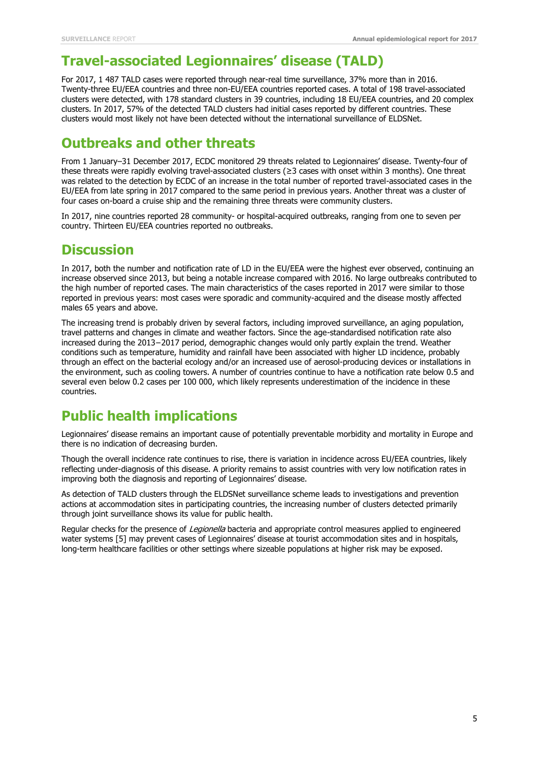### **Travel-associated Legionnaires' disease (TALD)**

For 2017, 1 487 TALD cases were reported through near-real time surveillance, 37% more than in 2016. Twenty-three EU/EEA countries and three non-EU/EEA countries reported cases. A total of 198 travel-associated clusters were detected, with 178 standard clusters in 39 countries, including 18 EU/EEA countries, and 20 complex clusters. In 2017, 57% of the detected TALD clusters had initial cases reported by different countries. These clusters would most likely not have been detected without the international surveillance of ELDSNet.

#### **Outbreaks and other threats**

From 1 January–31 December 2017, ECDC monitored 29 threats related to Legionnaires' disease. Twenty-four of these threats were rapidly evolving travel-associated clusters (≥3 cases with onset within 3 months). One threat was related to the detection by ECDC of an increase in the total number of reported travel-associated cases in the EU/EEA from late spring in 2017 compared to the same period in previous years. Another threat was a cluster of four cases on-board a cruise ship and the remaining three threats were community clusters.

In 2017, nine countries reported 28 community- or hospital-acquired outbreaks, ranging from one to seven per country. Thirteen EU/EEA countries reported no outbreaks.

#### **Discussion**

In 2017, both the number and notification rate of LD in the EU/EEA were the highest ever observed, continuing an increase observed since 2013, but being a notable increase compared with 2016. No large outbreaks contributed to the high number of reported cases. The main characteristics of the cases reported in 2017 were similar to those reported in previous years: most cases were sporadic and community-acquired and the disease mostly affected males 65 years and above.

The increasing trend is probably driven by several factors, including improved surveillance, an aging population, travel patterns and changes in climate and weather factors. Since the age-standardised notification rate also increased during the 2013−2017 period, demographic changes would only partly explain the trend. Weather conditions such as temperature, humidity and rainfall have been associated with higher LD incidence, probably through an effect on the bacterial ecology and/or an increased use of aerosol-producing devices or installations in the environment, such as cooling towers. A number of countries continue to have a notification rate below 0.5 and several even below 0.2 cases per 100 000, which likely represents underestimation of the incidence in these countries.

#### **Public health implications**

Legionnaires' disease remains an important cause of potentially preventable morbidity and mortality in Europe and there is no indication of decreasing burden.

Though the overall incidence rate continues to rise, there is variation in incidence across EU/EEA countries, likely reflecting under-diagnosis of this disease. A priority remains to assist countries with very low notification rates in improving both the diagnosis and reporting of Legionnaires' disease.

As detection of TALD clusters through the ELDSNet surveillance scheme leads to investigations and prevention actions at accommodation sites in participating countries, the increasing number of clusters detected primarily through joint surveillance shows its value for public health.

Regular checks for the presence of Legionella bacteria and appropriate control measures applied to engineered water systems [5] may prevent cases of Legionnaires' disease at tourist accommodation sites and in hospitals, long-term healthcare facilities or other settings where sizeable populations at higher risk may be exposed.